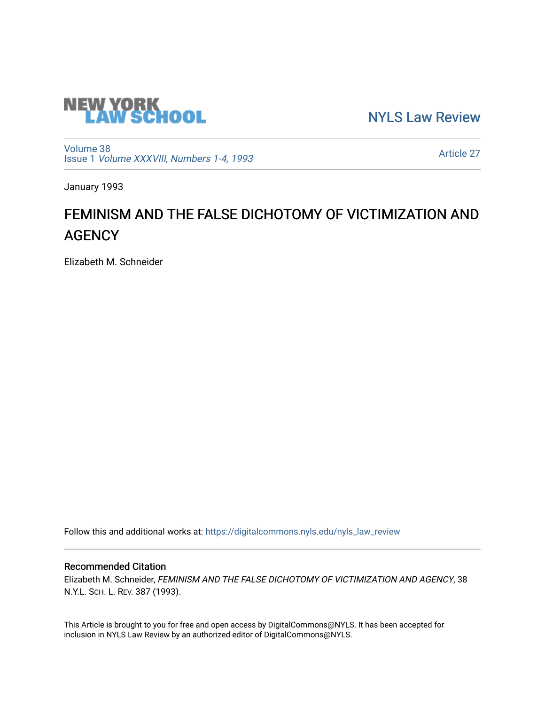

[NYLS Law Review](https://digitalcommons.nyls.edu/nyls_law_review) 

[Volume 38](https://digitalcommons.nyls.edu/nyls_law_review/vol38) Issue 1 [Volume XXXVIII, Numbers 1-4, 1993](https://digitalcommons.nyls.edu/nyls_law_review/vol38/iss1)

[Article 27](https://digitalcommons.nyls.edu/nyls_law_review/vol38/iss1/27) 

January 1993

# FEMINISM AND THE FALSE DICHOTOMY OF VICTIMIZATION AND **AGENCY**

Elizabeth M. Schneider

Follow this and additional works at: [https://digitalcommons.nyls.edu/nyls\\_law\\_review](https://digitalcommons.nyls.edu/nyls_law_review?utm_source=digitalcommons.nyls.edu%2Fnyls_law_review%2Fvol38%2Fiss1%2F27&utm_medium=PDF&utm_campaign=PDFCoverPages) 

## Recommended Citation

Elizabeth M. Schneider, FEMINISM AND THE FALSE DICHOTOMY OF VICTIMIZATION AND AGENCY, 38 N.Y.L. SCH. L. REV. 387 (1993).

This Article is brought to you for free and open access by DigitalCommons@NYLS. It has been accepted for inclusion in NYLS Law Review by an authorized editor of DigitalCommons@NYLS.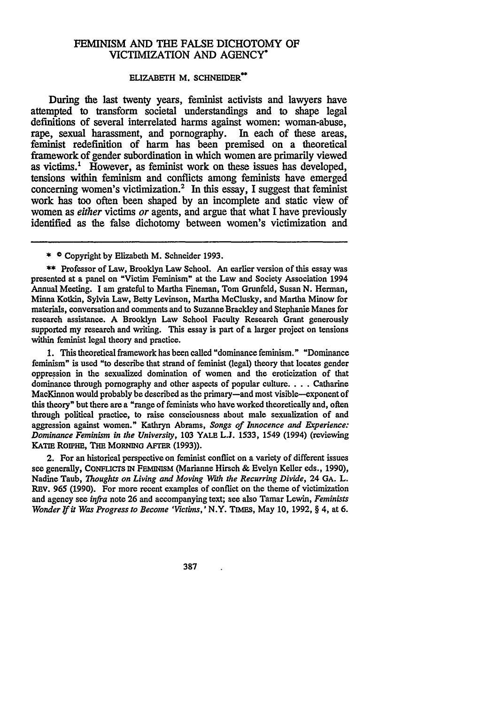### **FEMINISM AND** THE **FALSE** DICHOTOMY **OF** VICTIMIZATION **AND AGENCY\***

#### **ELIZABETH M. SCHNEIDER\*\***

During the last twenty years, feminist activists and lawyers have attempted to transform societal understandings and to shape legal definitions of several interrelated harms against women: woman-abuse, rape, sexual harassment, and pornography. In each of these areas, rape, sexual harassment, and pornography. feminist redefinition of harm has been premised on a theoretical framework of gender subordination in which women are primarily viewed as victims.' However, as feminist work on these issues has developed, tensions within feminism and conflicts among feminists have emerged concerning women's victimization.<sup>2</sup> In this essay, I suggest that feminist work has too often been shaped by an incomplete and static view of women as *either* victims *or* agents, and argue that what I have previously identified as the false dichotomy between women's victimization and

**\*\*** Professor of Law, Brooklyn Law School. An earlier version of this essay was presented at a panel on "Victim Feminism" at the Law and Society Association 1994 Annual Meeting. I am grateful to Martha Fineman, Tom Grunfeld, Susan **N.** Herman, Minna Kotkin, Sylvia Law, Betty Levinson, Martha MeClusky, and Martha Minow for materials, conversation and comments and to Suzanne Brackley and Stephanie Manes for research assistance. **A** Brooklyn Law School Faculty Research Grant generously supported my research and writing. This essay is part of a larger project on tensions within feminist legal theory and practice.

**1.** This theoretical framework has been called "dominance feminism." "Dominance feminism" is used "to describe that strand of feminist (legal) theory that locates gender oppression in the sexualized domination of women and the eroticization of that dominance through pornography and other aspects of popular culture.... Catharine MacKinnon would probably be described as the primary-and most visible-exponent of this theory" but there are a "range of feminists who have worked theoretically and, often through political practice, to raise consciousness about male sexualization of and aggression against women." Kathryn Abrams, *Songs of Innocence and Experience: Dominance Feminism in the University,* **103 YALE** L.J. 1533, 1549 (1994) (reviewing KATIE ROIPHE, THE MORNING AFTER (1993)).

2. For an historical perspective on feminist conflict on a variety of different issues see generally, CONFucrs **IN** FEmINIM (Marianne Hirsch & Evelyn Keller eds., 1990), Nadine Taub, *Thoughts on Living and Moving Wth the Recurring Divide,* **24 GA.** L. REV. 965 (1990). For more recent examples of conflict on the theme of victimization and agency see *infra* note **26** and accompanying text; see also Tamar Lewin, *Feminists Wonder If it Was Progress to Become 'Victims,' N.Y. TIMES, May 10, 1992, § 4, at 6.* 

387

**<sup>\*</sup>** © Copyright by Elizabeth M. Schneider 1993.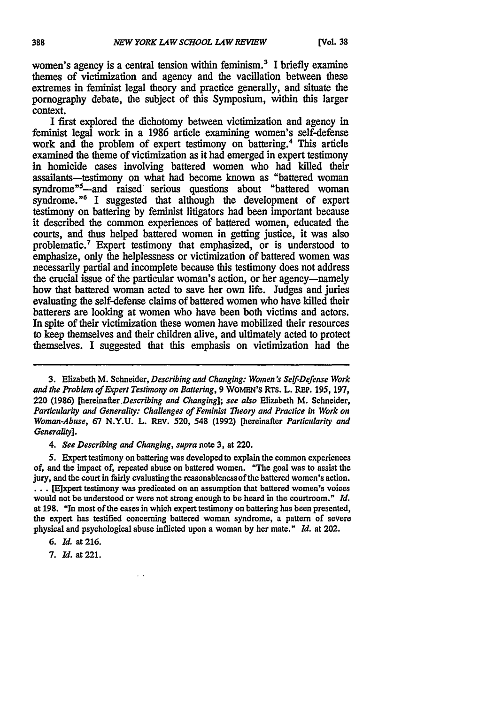women's agency is a central tension within feminism.<sup>3</sup> I briefly examine themes of victimization and agency and the vacillation between these extremes in feminist legal theory and practice generally, and situate the pornography debate, the subject of this Symposium, within this larger context.

I first explored the dichotomy between victimization and agency in feminist legal work in a 1986 article examining women's self-defense work and the problem of expert testimony on battering.<sup>4</sup> This article examined the theme of victimization as it had emerged in expert testimony in homicide cases involving battered women who had killed their assailants-testimony on what had become known as "battered woman syndrome"<sup>5</sup>—and raised serious questions about "battered woman syndrome."<sup>6</sup> I suggested that although the development of expert testimony on battering by feminist litigators had been important because it described the common experiences of battered women, educated the courts, and thus helped battered women in getting justice, it was also problematic.7 Expert testimony that emphasized, or is understood to emphasize, only the helplessness or victimization of battered women was necessarily partial and incomplete because this testimony does not address the crucial issue of the particular woman's action, or her agency-namely how that battered woman acted to save her own life. Judges and juries evaluating the self-defense claims of battered women who have killed their batterers are looking at women who have been both victims and actors. In spite of their victimization these women have mobilized their resources to keep themselves and their children alive, and ultimately acted to protect themselves. I suggested that this emphasis on victimization had the

3. Elizabeth M. Schneider, *Describing and Changing: Women's Self-Defense Work and the Problem of Expert Testimony on Battering,* 9 WOIEN's RTS. L. REP. 195, 197, 220 (1986) *[hereinafter Describing and Changing]; see also* Elizabeth M. Schneider, *Particularity and Generality: Challenges of Feminist Theory and Practice in Work on Woman-Abuse,* **67** N.Y.U. L. **REV.** 520, 548 (1992) [hereinafter *Particularity and Generality].*

*4. See Describing and Changing, supra* note 3, at 220.

5. Expert testimony on battering was developed to explain the common experiences of, and the impact of, repeated abuse on battered women. "The goal was to assist the jury, and the court in fairly evaluating the reasonableness of the battered women's action. **...** [Elxpert testimony was predicated on an assumption that battered women's voices would not be understood or were not strong enough to be heard in the courtroom." *Id.* at 198. "In most of the cases in which expert testimony on battering has been presented, the expert has testified concerning battered woman syndrome, a pattern of severe physical and psychological abuse inflicted upon a woman by her mate." *Id.* at 202.

*6. Id.* at 216.

7. **Id.** at 221.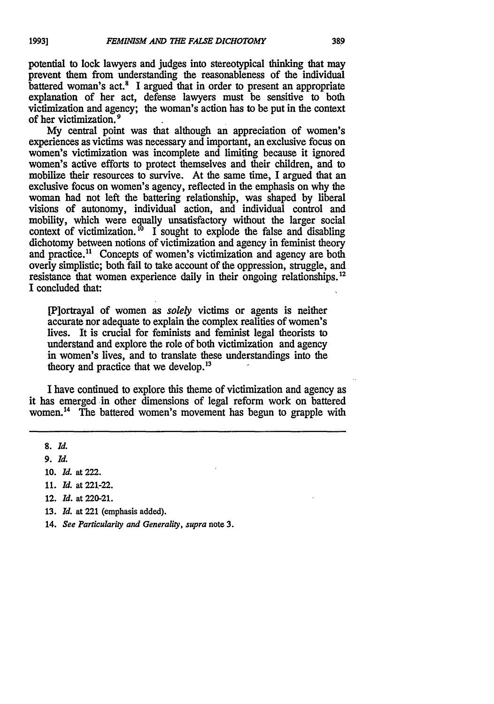potential to lock lawyers and judges into stereotypical thinking that may prevent them from understanding the reasonableness of the individual battered woman's act.<sup>8</sup> I argued that in order to present an appropriate explanation of her act, defense lawyers must be sensitive to both victimization and agency; the woman's action has to be put in the context of her victimization. 9

**My** central point was that although an appreciation of women's experiences as victims was necessary and important, an exclusive focus on women's victimization was incomplete and limiting because it ignored women's active efforts to protect themselves and their children, and to mobilize their resources to survive. At the same time, **I** argued that an exclusive focus on women's agency, reflected in the emphasis on why the woman had not left the battering relationship, was shaped **by** liberal visions of autonomy, individual action, and individual control and mobility, which were equally unsatisfactory without the larger social context of victimization.<sup>10</sup> I sought to explode the false and disabling dichotomy between notions of victimization and agency in feminist theory and practice." Concepts **of** women's victimization and agency are both overly simplistic; both fail to take account of the oppression, struggle, and resistance that women experience daily in their ongoing relationships.<sup>12</sup> I concluded that:

[P]ortrayal of women as *solely* victims or agents is neither accurate nor adequate to explain the complex realities of women's lives. It is crucial for feminists and feminist legal theorists to understand and explore the role of both victimization and agency in women's lives, and to translate these understandings into the theory and practice that we develop.<sup>13</sup>

I have continued to explore this theme of victimization and agency as it has emerged in other dimensions of legal reform work on battered women.14 The battered women's movement has begun to grapple with

- **10.** *Id.* at 222.
- *11. Id.* **at 221-22.**
- 12. *Id.* at 220-21.
- **13.** *Id.* **at** 221 (emphasis added).
- 14. *See Particularity and Generality, supra* note **3.**

*<sup>8.</sup> Id.*

*<sup>9.</sup> Id.*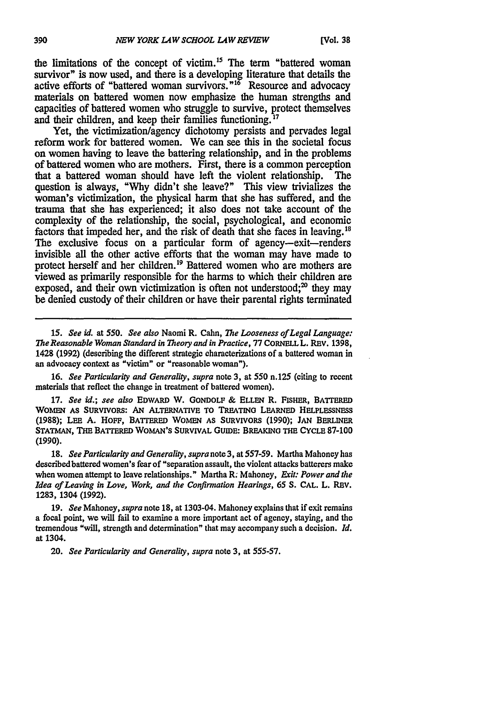the limitations of the concept of victim.<sup>15</sup> The term "battered woman survivor" is now used, and there is a developing literature that details the active efforts of "battered woman survivors."16 Resource and advocacy materials on battered women now emphasize the human strengths and capacities of battered women who struggle to survive, protect themselves and their children, and keep their families functioning. **' 7**

Yet, the victimization/agency dichotomy persists and pervades legal reform work for battered women. We can see this in the societal focus on women having to leave the battering relationship, and in the problems of battered women who are mothers. First, there is a common perception that a battered woman should have left the violent relationship. The that a battered woman should have left the violent relationship. question is always, **"Why** didn't she leave?" This view trivializes the woman's victimization, the physical harm that she has suffered, and the trauma that she has experienced; it also does not take account of the complexity of the relationship, the social, psychological, and economic factors that impeded her, and the risk of death that she faces in leaving.<sup>18</sup> The exclusive focus on a particular form of agency--exit--renders invisible all the other active efforts that the woman may have made to protect herself and her children.<sup>19</sup> Battered women who are mothers are viewed as primarily responsible for the harms to which their children are exposed, and their own victimization is often not understood; $\alpha$  they may be denied custody of their children or have their parental rights terminated

*15. See id. at 550. See also* Naomi R. Cahn, *The Looseness of Legal* Language: *The Reasonable Woman Standard in Theory and in Practice,* **77 CORNELL L.** REV. **1398,** 1428 (1992) (describing the different strategic characterizations of a battered woman in an advocacy context as "victim" or "reasonable woman").

**16.** *See Particularity and Generality, supra* note 3, at 550 n.125 (citing to recent materials that reflect the change in treatment of battered women).

**17.** *See id.; see also* **EDWARD** W. **GONDOLF & ELLEN** R. **FISHER, BATrERED WOMEN AS** SURVIVORS: **AN** ALTERNATIVE **TO TRFATINo LEARNED HELPLESSNESS (1988); LEE A. HOFF, BATrERED WOMEN AS** SURVIVORS **(1990); JAN BERLINER STATMAN, THE BATrERED WOMAN'S SURVIVAL GUIDE: BREAKING THE CYCLE 87-100 (1990).**

**18.** *See Particularity and Generality, supra* note 3, at 557-59. Martha Mahoney has described battered women's fear of "separation assault, the violent attacks batterers make when women attempt to leave relationships." Martha R. Mahoney, *Exit: Power and the Idea of Leaving in Love, Work, and the Confirmation Hearings, 65* **S. CAL.** L. **REv. 1283,** 1304 **(1992).**

**19.** *See* Mahoney, *supra* note **18,** at 1303-04. **Mahoney explains that if exit remains** a focal point, we will fail to examine a more important act of agency, staying, and the tremendous "will, strength and determination" that may accompany such a decision. *Id.* at 1304.

20. *See Particularity and Generality, supra* note 3, at 555-57.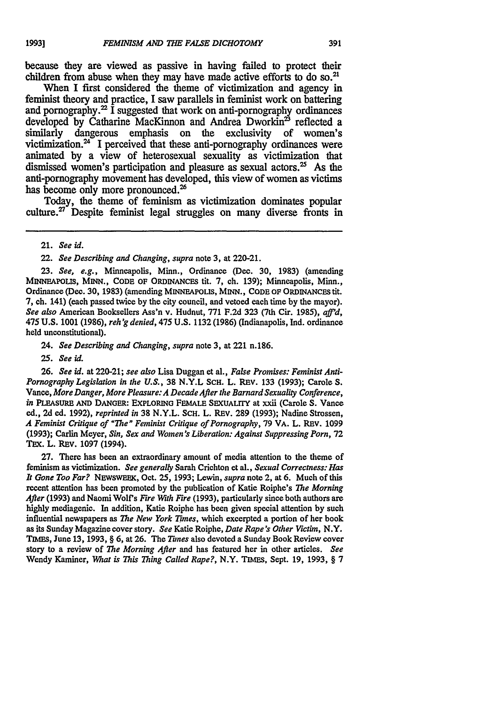because they are viewed as passive in having failed to protect their children from abuse when they may have made active efforts to do so.<sup>21</sup>

When I first considered the theme of victimization and agency in feminist theory and practice, I saw parallels in feminist work on battering and pornography.<sup>22</sup> I suggested that work on anti-pornography ordinances developed by Catharine MacKinnon and Andrea Dwork $\sin^2$  reflected a similarly dangerous emphasis on the exclusivity of women's dangerous emphasis on the exclusivity of women's victimization. $24$  I perceived that these anti-pornography ordinances were animated by a view of heterosexual sexuality as victimization that dismissed women's participation and pleasure as sexual actors.<sup>25</sup> As the anti-pornography movement has developed, this view of women as victims has become only more pronounced.<sup>26</sup>

Today, the theme of feminism as victimization dominates popular culture. $27$  Despite feminist legal struggles on many diverse fronts in

21. See id.

22. See Describing and Changing, supra note **3,** at 220-21.

**23.** See, e.g., Minneapolis, Minn., Ordinance (Dec. **30, 1983)** (amending **MINNEAPOLIS, MINN., CODE OF ORDINANCES tit. 7,** ch. **139);** Minneapolis, Minn., Ordinance **(Dec. 30, 1983)** (amending MINNEAPOLIS, **MINN., CODE OF ORDINANCES tit. 7,** ch. 141) (each passed twice **by** the city council, and vetoed each time **by** the mayor). See also American Booksellers Ass'n v. Hudnut, **771 F.2d 323** (7th Cir. 1985), afid, 475 **U.S. 1001 (1986),** reh'g denied, 475 **U.S. 1132 (1986)** (Indianapolis, Ind. ordinance held unconstitutional).

24. See Describing and Changing, supra note **3,** at 221 n.186.

*25.* See id.

**26.** See id. at 220-21; see also Lisa Duggan et al., False Promises: Feminist Anti-Pornography Legislation in *the* **U.S., 38** N.Y.L **SCH.** L. REv. 133 **(1993);** Carole **S.** Vance, More Danger, More Pleasure: A Decade After the Barnard Sexuality Conference, in PLEASURE **AND DANGER:** EXPLORING FEMALE **SEXUALrrY** at xxii (Carole **S.** Vance ed., **2d** ed. **1992),** reprinted in **38** N.Y.L. ScH. L. REv. **289** (1993); Nadine Strossen, A Feminist Critique of "The" Feminist Critique of Pornography, 79 VA. L. REV. 1099 (1993); Carlin Meyer, Sin, Sex and Women's Liberation: Against Suppressing Porn, 72 TEX. L. REV. 1097 (1994).

**27.** There has been an extraordinary amount of media attention to the theme of feminism as victimization. See generally Sarah Crichton et al., Sexual Correctness: Has It Gone Too Far? NEWSWEEK, Oct. **25,** 1993; Lewin, supra note 2, at **6.** Much of this recent attention has been promoted by the publication of Katie Roiphe's *The* Morning After (1993) and Naomi Wolf's Fire With Fire (1993), particularly since both authors are highly mediagenic. In addition, Katie Roiphe has been given special attention by such influential newspapers as *The* New York *Tunes,* which excerpted a portion of her book as its Sunday Magazine cover story. See Katie Roiphe, Date Rape's Other Victim, N.Y. **TIMEs,** June 13, 1993, § **6,** at **26.** The Tunes also devoted a Sunday Book Review cover story to a review of *The* Morning **After** and has featured her in other articles. See Wendy Kaminer, *What* is *This* Thing Called Rape?, N.Y. TIMES, Sept. 19, 1993, § 7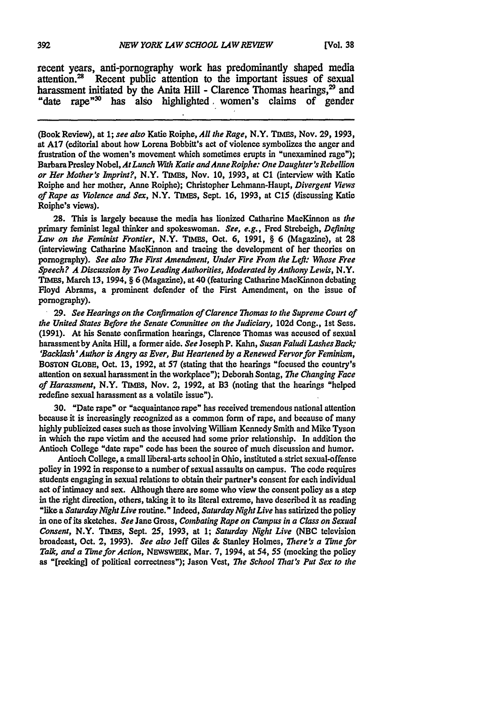recent years, anti-pornography work has predominantly shaped media attention.<sup>28</sup> Recent public attention to the important issues of sexual harassment initiated by the Anita Hill - Clarence Thomas hearings.<sup>29</sup> and "date rape<sup>"30</sup> has also highlighted women's claims of gender

(Book Review), at **1;** *see also* Katie Roiphe, *All the Rage,* N.Y. **TImls,** Nov. **29,** 1993, at A17 (editorial about how Lorena Bobbitt's act of violence symbolizes the anger and frustration of the women's movement which sometimes erupts in "unexamined rage"); Barbara Presley Nobel, *At Lunch With Katie andAnneRoiphe: One Daughter's Rebellion or Her Mother's bnprint?,* N.Y. **7UM,** Nov. 10, 1993, at **C1** (interview with Katie Roiphe and her mother, Anne Roiphe); Christopher Lehmann-Haupt, *Divergent Views of Rape as Violence and Sex,* N.Y. **TIMES,** Sept. 16, 1993, at **C15** (discussing Katie Roiphe's views).

28. This is largely because the media has lionized Catharine MacKinnon as *the* primary feminist legal thinker and spokeswoman. *See, e.g.,* Fred Strebeigh, *Defining Law on the Feminist Frontier,* N.Y. **TIMEs,** Oct. **6, 1991,** § 6 (Magazine), at **28** (interviewing Catharine MacKinnon and tracing the development of her theories on pornography). *See also The First Amendment, Under Fire From the Left: Whose Free Speech? A Discussion* **by** *Two Leading Authorities, Moderated* **by** *Anthony Lewis,* N.Y. **TIMES,** March **13,** 1994, § 6 (Magazine), at 40 (featuring Catharine MacKinnon debating Floyd Abrams, a prominent defender of the First Amendment, on the issue of pornography).

**29.** *See Hearings on the Confirmation of Clarence Thomas to the Supreme Court of the United States Before the Senate Committee on the Judiciary,* 102d Cong., 1st Sess. (1991). At his Senate confirmation hearings, Clarence Thomas was accused of sexual harassmentby Anita Hill, a former aide. *See* Joseph P. Kahn, *Susan Faludi Lashes Back; 'Backlash'Author is Angry as Ever, But Heartened by a Renewed Fervorfor Feminism,* **BOSTON GLOBE,** Oct. 13, 1992, at 57 (stating that the hearings "focused the country's attention on sexual harassment in the workplace"); Deborah Sontag, *The Changing Face of Harassment,* N.Y. **Tmms,** Nov. 2, 1992, at B3 (noting that the hearings "helped redefine sexual harassment as a volatile issue").

30. "Date rape" or "acquaintance rape" has received tremendous national attention because it is increasingly recognized as a common form of rape, and because of many highly publicized cases such as those involving William Kennedy Smith and Mike Tyson in which the rape victim and the accused had some prior relationship. In addition the Antioch College "date rape" code has been the source of much discussion and humor.

Antioch College, a small liberal-arts school in Ohio, instituted a strict sexual-offense policy in 1992 in response to a number of sexual assaults on campus. The code requires students engaging in sexual relations to obtain their partner's consent for each individual act of intimacy and sex. Although there are some who view the consent policy as a step in the right direction, others, taking it to its literal extreme, have described it as reading "like a *Saturday Night Live* routine." Indeed, *Saturday Night Live* has satirized the policy in one of its sketches. *See* Jane Gross, *Combating Rape on Canpus in a Class on Sexual Consent,* N.Y. **TIMES,** Sept. **25,** 1993, at **1;** *Saturday Night Live* (NBC television broadcast, Oct. 2, 1993). See also Jeff Giles & Stanley Holmes, There's a Time for *Talk, and a Thune for Action,* NEWSWEEK, Mar. 7, 1994, at *54,* 55 (mocking the policy as "[reeking] of political correctness"); Jason Vest, *The School That's Put Sex to the*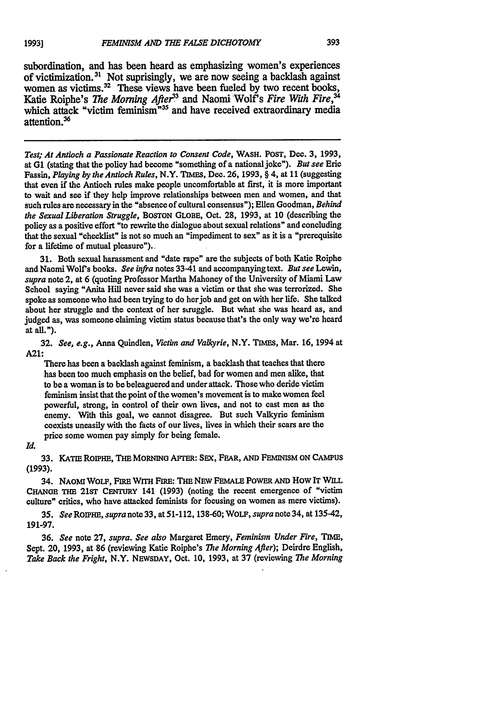*Test; At Antioch a Passionate Reaction to Consent Code,* WASH. POST, **Dec. 3, 1993,** at **G1** (stating that the policy had become "something of a nationaljoke"). *But see* Eric Fassin, *Playing by the Antioch Rules,* N.Y. 7IMES, Dec. **26, 1993,** § 4, at **11** (suggesting that even if the Antioch rules make people uncomfortable at first, it is more important to wait and see if they help improve relationships between men and women, and that such rules are necessary in the "absence of cultural consensus"); Ellen Goodman, *Behind the Sexual Liberation Struggle,* BOSTON GLOBE, Oct. **28, 1993,** at **10** (describing the policy as a positive effort "to rewrite the dialogue about sexual relations" and concluding that the sexual "checklist" is not so much an "impediment to sex" as it is a "prerequisite for a lifetime of mutual pleasure").

**31.** Both sexual harassment and "date rape" are the subjects of both Katie Roiphe **and Naomi Wolf s books.** *See infra* notes 33-41 and accompanying text. *But see Lewin, supra* note 2, at **6** (quoting Professor Martha Mahoney of the University of Miami Law School saying "Anita Hill never said she was a victim or that she was terrorized. **She** spoke as someone who had been trying to do her job and get on with her life. She talked about her struggle and the context of her signals about she was heard as, and judged as, was someone claiming victim status because that's the only way we're heard at all.").

32. *See, e.g., Anna Quindlen, Victim and Valkyrie, N.Y. TIMES, Mar. 16, 1994 at* **A21:**

There has been a backlash against feminism, a backlash that teaches that there has been too much emphasis on the belief, bad for women and men alike, that to **be** a woman is to **be** beleaguered and under attack. Those who deride victim feminism insist that the point of the women's movement is to make women feel powerful, strong, in control of their own lives, and not to cast men as the enemy. With this goal, we cannot disagree. But such Valkyrie feminism coexists uneasily with the facts of our lives, lives in which their scars are the price some women pay simply for being female.

#### *Id.*

**33. KATIE** ROIPHE, THE MORNING AFTER: **SEX,** FEAR, **AND** FEMINISM **ON CAMPUS (1993).**

34. **NAOMI** WOLF, **FIRE** WrrH FIRE: THE **NEW FEMALE** POWER **AND** How IT WILL **CHANGE** THE **21sT** CENTURY 141 **(1993)** (noting the recent emergence of "victim culture" critics, who have attacked feminists for focusing on women as mere victims).

*35. See* ROIPHE, *supra* note **33,** at **51-112, 138-60;** WOLF, *supra* note 34, at 135-42, **191-97.**

**36.** *See* note **27,** *supra. See also* Margaret Emery, *Feminisrn Under Fire, TIME,* Sept. 20, **1993,** at **86** (reviewing Katie Roiphe's *The Morning Afier);* Deirdre English, *Take Back the Fright,* N.Y. NEWSDAY, Oct. **10, 1993,** at **37** (reviewing *The Morning*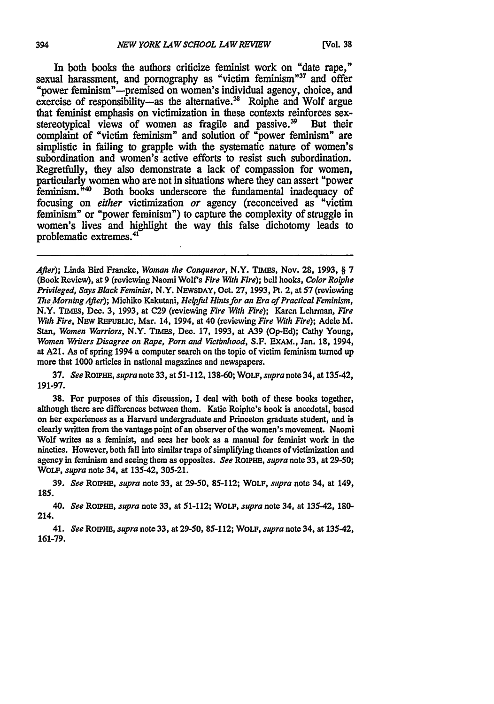In both books the authors criticize feminist work on "date rape," sexual harassment, and pornography as "victim feminism"<sup>37</sup> and offer "power feminism"—premised on women's individual agency, choice, and exercise of responsibility-as the alternative.<sup>38</sup> Roiphe and Wolf argue that feminist emphasis on victimization in these contexts reinforces sex-<br>stereotypical views of women as fragile and passive.<sup>39</sup> But their stereotypical views of women as fragile and passive.<sup>39</sup> complaint of "victim feminism" and solution of "power feminism" are simplistic in failing to grapple with the systematic nature of women's subordination and women's active efforts to resist such subordination. Regretfully, they also demonstrate a lack of compassion for women, particularly women who are not in situations where they can assert "power feminism.<sup>"40</sup> Both books underscore the fundamental inadequacy of focusing on *either* victimization *or* agency (reconceived as "victim feminism" or "power feminism") to capture the complexity of struggle in women's lives and highlight the way this false dichotomy leads to problematic extremes.41

After); Linda Bird Francke, Woman the Conqueror, N.Y. TIMEs, Nov. 28, 1993, § **7** (Book Review), at 9 (reviewing Naomi Wolf's Fire With Fire); bell hooks, Color Roiphe *Privileged,* Says Black Feminist, N.Y. NEWSDAY, Oct. 27, 1993, Pt. 2, at 57 (reviewing *The* Morning After); Michiko Kakutani, Helpful Hints for an Era of Practical Feminism, N.Y. TIMES, Dec. 3, 1993, at C29 (reviewing Fire With Fire); Karen Lehrman, Fire *With* Fire, NEw **REPuBLIC,** Mar. 14, 1994, at 40 (reviewing Fire With Fire); Adele M. Stan, Women Warriors, N.Y. **TIMES,** Dec. 17, 1993, at A39 (Op-Ed); Cathy Young, Women Writers Disagree on Rape, Porn and Vietimhood, S.F. EXAM., Jan. 18, 1994, at A21. As of spring 1994 a computer search on the topic of victim feminism turned up more that 1000 articles in national magazines and newspapers.

37. See ROPHE, supra note 33, at 51-112, 138-60; WOLF, supra note 34, at 135-42, 191-97.

38. For purposes of this discussion, I deal with both of these books together, although there are differences between them. Katie Roiphe's book is anecdotal, based on her experiences as a Harvard undergraduate and Princeton graduate student, and is clearly written from the vantage point of an observer of the women's movement. Naomi Wolf writes as a feminist, and sees her book as a manual for feminist work in the nineties. However, both fall into similar traps of simplifying themes of victimization and agency in feminism and seeing them as opposites. See *RoiPHE,* supra note 33, at 29-50; WOLF, supra note 34, at 135-42, 305-21.

39. See *RoipHm,* supra note 33, at 29-50, 85-112; WOLF, supra note 34, at 149, 185.

*40.* See RonPHE, supra note **33,** at **51-112;** WOLF, supra note 34, at 135-42, **180-** 214.

41. See **ROIPHE,** supra note **33,** at **29-50, 85-112;** WOLF, supra note 34, at 135-42, **161-79.**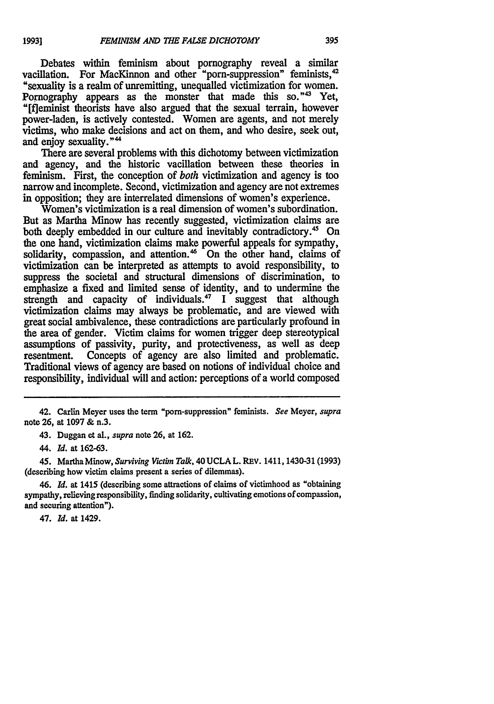Debates within feminism about pornography reveal a similar vacillation. For MacKinnon and other "porn-suppression" feminists,<sup>42</sup> "sexuality is a realm of unremitting, unequalled victimization for women. Pornography appears as the monster that made this so."<sup>43</sup> Yet, "[fleminist theorists have also argued that the sexual terrain, however power-laden, is actively contested. Women are agents, and not merely victims, who make decisions and act on them, and who desire, seek out, and enjoy sexuality."<sup>44</sup>

There are several problems with this dichotomy between victimization and agency, and the historic vacillation between these theories in feminism. First, the conception of *both* victimization and agency is too narrow and incomplete. Second, victimization and agency are not extremes in opposition; they are interrelated dimensions of women's experience.

Women's victimization is a real dimension of women's subordination. But as Martha Minow has recently suggested, victimization claims are both deeply embedded in our culture and inevitably contradictory.<sup>45</sup> On the one hand, victimization claims make powerful appeals for sympathy, solidarity, compassion, and attention.<sup>46</sup> On the other hand, claims of victimization can be interpreted as attempts to avoid responsibility, to suppress the societal and structural dimensions of discrimination, to emphasize a fixed and limited sense of identity, and to undermine the strength and capacity of individuals.<sup>47</sup> I suggest that although victimization claims may always be problematic, and are viewed with great social ambivalence, these contradictions are particularly profound in the area of gender. Victim claims for women trigger deep stereotypical assumptions of passivity, purity, and protectiveness, as well as deep resentment. Concepts of agency are also limited and problematic. Traditional views of agency are based on notions of individual choice and responsibility, individual will and action: perceptions of a world composed

43. Duggan et al., *supra* note **26,** at **162.**

44. *Id.* at **162-63.**

**45.** Martha Minow, *Surviving Vitbn Talk,* 40 **UCLA** L. REV. 1411,1430-31 **(1993)** (describing how victim claims present a series of dilemmas).

46. *Id.* at 1415 (describing some attractions of claims of victimhood as "obtaining sympathy, relieving responsibility, finding solidarity, cultivating emotions of compassion, and securing attention").

47. *Id.* at 1429.

<sup>42.</sup> Carlin Meyer uses the term "porn-suppression" feminists. *See* Meyer, *supra* note **26,** at 1097 **&** n.3.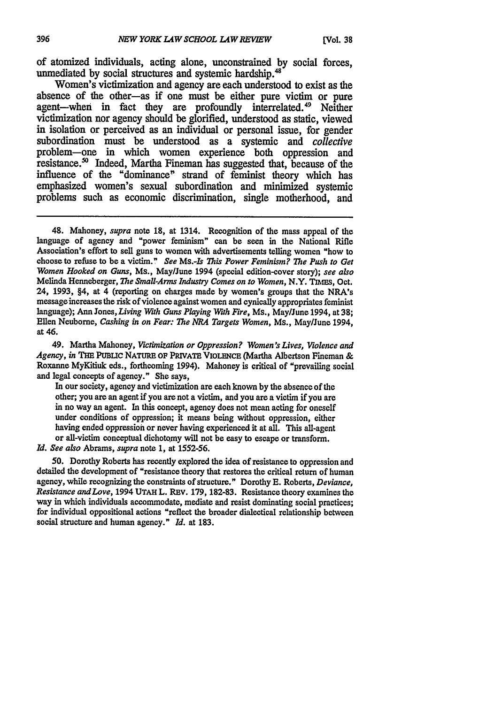of atomized individuals, acting alone, unconstrained by social forces, unmediated by social structures and systemic hardship.<sup>48</sup>

Women's victimization and agency are each understood to exist as the absence of the other-as if one must be either pure victim or pure agent-when in fact they are profoundly interrelated.<sup>49</sup> Neither victimization nor agency should be glorified, understood as static, viewed in isolation or perceived as an individual or personal issue, for gender subordination must be understood as a systemic and *collective* problem-one in which women experience both oppression and resistance.<sup>50</sup> Indeed, Martha Fineman has suggested that, because of the influence of the "dominance" strand of feminist theory which has emphasized women's sexual subordination and minimized systemic problems such as economic discrimination, single motherhood, and

49. Martha Mahoney, *Victimization or Oppression? Women's Lives, Violence and* Agency, in THE PUBLIC NATURE OF PRIVATE VIOLENCE (Martha Albertson Fineman & Roxanne MyKitiuk eds., forthcoming 1994). Mahoney is critical of "prevailing social and legal concepts of agency." **She** says,

In our society, agency and victimization are each known **by** the absence of the other; you are an agent if you are not a victim, and you are a victim if you are in no way an agent. In this concept, agency does not mean acting for oneself under conditions of oppression; it means being without oppression, either having ended oppression or never having experienced it at all. This all-agent or all-victim conceptual dichotomy will not be easy to escape or transform.

*Id. See also* Abrams, *supra* note **1,** at 1552-56.

50. Dorothy Roberts has recently explored the idea of resistance to oppression and detailed the development of "resistance theory that restores the critical return of human agency, while recognizing the constraints of structure." Dorothy **E.** Roberts, *Deviance, Resistance andLove,* 1994 **UTAH** L. REV. 179, **182-83.** Resistance theory examines the way in which individuals accommodate, mediate and resist dominating social practices; for individual oppositional actions "reflect the broader dialectical relationship between social structure and human agency." *Id.* at 183.

<sup>48.</sup> Mahoney, *supra* note **18,** at 1314. Recognition of the mass appeal of the language of agency and "power feminism" can be seen in the National Rifle Association's effort to sell guns to women with advertisements telling women "how to choose to refuse to be a victim." *See* Ms.-Is *This Power Feminism? The Push to Get Women Hooked on Guns,* Ms., May/June 1994 (special edition-cover story); *see also* Melinda Henmeberger, *The Small-Arms Industry Comes on to Women,* N.Y. Tmms, Oct. 24, **1993,** §4, at 4 (reporting on charges made by women's groups that the NRA's messageincreases the risk of violence against women and cynically appropriates feminist language); Ann *Jones,Living With Guns Playing With Fire,* Ms., May/June 1994, at **38;** Ellen Neuborne, *Cashing in on Fear: The NRA Targets Women,* Ms., May/June 1994, at 46.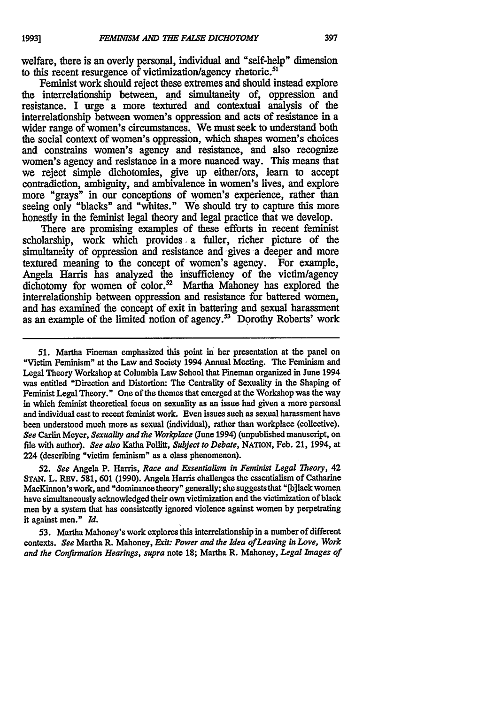welfare, there is an overly personal, individual and "self-help" dimension to this recent resurgence of victimization/agency rhetoric.<sup>51</sup>

Feminist work should reject these extremes and should instead explore the interrelationship between, and simultaneity of, oppression and resistance. I urge a more textured and contextual analysis of the interrelationship between women's oppression and acts of resistance in a wider range of women's circumstances. We must seek to understand both the social context of women's oppression, which shapes women's choices and constrains women's agency and resistance, and also recognize women's agency and resistance in a more nuanced way. This means that we reject simple dichotomies, give up either/ors, learn to accept contradiction, ambiguity, and ambivalence in women's lives, and explore more "grays" in our conceptions of women's experience, rather than seeing only "blacks" and "whites." We should try to capture this more honestly in the feminist legal theory and legal practice that we develop.

There are promising examples of these efforts in recent feminist scholarship, work which provides. a fuller, richer picture of the simultaneity of oppression and resistance and gives a deeper and more textured meaning to the concept of women's agency. For example, Angela Harris has analyzed the insufficiency of the victim/agency dichotomy for women of color.<sup>52</sup> Martha Mahoney has explored the interrelationship between oppression and resistance for battered women, and has examined the concept of exit in battering and sexual harassment as an example of the limited notion of agency.<sup>33</sup> Dorothy Roberts' work

*52. See* Angela P. Harris, *Race and Essentialism in Feminist Legal Theory,* 42 STAN. L. REV. 581, 601 (1990). Angela Harris challenges the essentialism of Catharine MacKinnon's work, and "dominance theory" generally; she suggests that "[b] lack women have simultaneously acknowledged their own victimization and the victimization of black men by a system that has consistently ignored violence against women **by** perpetrating it against men." *Id.*

**53.** Martha Mahoney's work explores this interrelationship in a number of different contexts. *See* Martha R. Mahoney, *Exit: Power and the Idea ofLeaving in Love, Work and the Confirmation Hearings, supra* note 18; Martha R. Mahoney, *Legal Images of*

**<sup>51.</sup>** Martha Fineman emphasized **this** point in her presentation at the panel on "Victim Feminism" at the Law and Society 1994 Annual Meeting. **The** Feminism and Legal Theory Workshop at Columbia Law School that Fineman organized in June 1994 was entitled "Direction and Distortion: The Centrality of Sexuality in the Shaping of Feminist Legal Theory." One of the themes that emerged at the Workshop was the way in which feminist theoretical focus on sexuality as an issue had given a more personal and individual cast to recent feminist work. Even issues such as sexual harassment have been understood much more as sexual (individual), rather than workplace (collective). *See* Carlin Meyer, *Sexuality and the Workplace* (June 1994) (unpublished manuscript, on file with author). *See also* Katha Pollitt, *Subject to Debate,* NATION, Feb. 21, 1994, at 224 (describing "victim feminism" as a class phenomenon).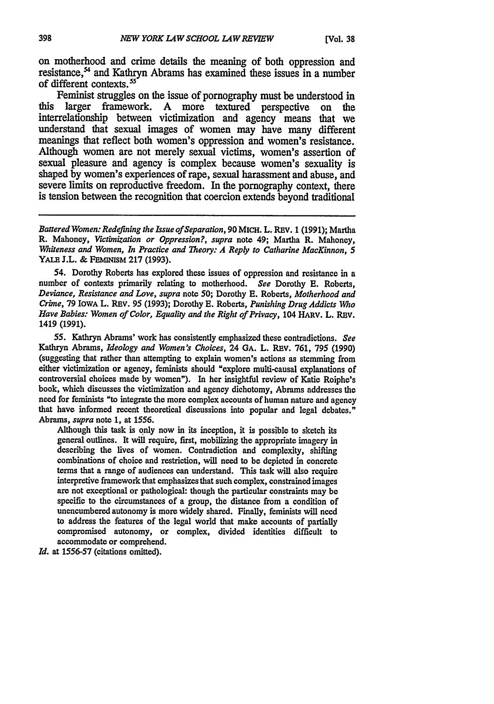on motherhood and crime details the meaning of both oppression and resistance,<sup>54</sup> and Kathryn Abrams has examined these issues in a number of different contexts.<sup>55</sup>

Feminist struggles on the issue of pornography must be understood in this larger framework. **A** more textured perspective on the interrelationship between victimization and agency means that we understand that sexual images of women may have many different meanings that reflect both women's oppression and women's resistance. Although women are not merely sexual victims, women's assertion of sexual pleasure and agency is complex because women's sexuality is shaped **by** women's experiences of rape, sexual harassment and abuse, and severe limits on reproductive freedom. In the pornography context, there is tension between the recognition that coercion extends beyond traditional

*Battered Women: Redefining the Issue of Separation,* 90 MICH. L. REv. 1 (1991); Martha R. Mahoney, *Victibnization or Oppression?, supra* note 49; Martha R. Mahoney, *Whiteness and Women, In Practice and Theory: A Reply to Catharine MacKinnon, 5* **YALE** J.L. & **FEMINM 217 (1993).**

54. Dorothy Roberts has explored these issues of oppression and resistance in a number of contexts primarily relating to motherhood. *See* Dorothy **E.** Roberts, *Deviance, Resistance and Love, supra* note **50;** Dorothy **E.** Roberts, *Motherhood and Crime,* 79 IowA L. REV. 95 (1993); Dorothy **E.** Roberts, *Punishing Drug Addicts Who Have Babies: Women of Color, Equality and the Right of Privacy, 104 HARV. L. REV.* 1419 **(1991).**

**55.** Kathryn Abrams' work has consistently emphasized these contradictions. *See* Kathryn Abrams, *Ideology and Women's Choices,* 24 **GA.** L. REv. 761, 795 (1990) (suggesting that rather than attempting to explain women's actions as stemming from either victimization or agency, feminists should "explore multi-causal explanations of controversial choices made by women"). In her insightful review of Katie Roiphe's book, which discusses the victimization and agency dichotomy, Abrams addresses the need for feminists "to integrate the more complex accounts of human nature and agency that have informed recent theoretical discussions into popular and legal debates." Abrams, *supra* note **1,** at 1556.

Although this task is only now in its inception, it is possible to sketch its general outlines. It will require, first, mobilizing the appropriate imagery in describing the lives of women. Contradiction and complexity, shifting combinations of choice and restriction, will need to be depicted in concrete terms that a range of audiences can understand. This task will also require interpretive framework that emphasizes that such complex, constrained images are not exceptional or pathological: though the particular constraints may be specific to the circumstances of a group, the distance from a condition of unencumbered autonomy is more widely shared. Finally, feminists will need to address the features of the legal world that make accounts of partially compromised autonomy, or complex, divided identities difficult to accommodate or comprehend.

*Id.* at 1556-57 (citations omitted).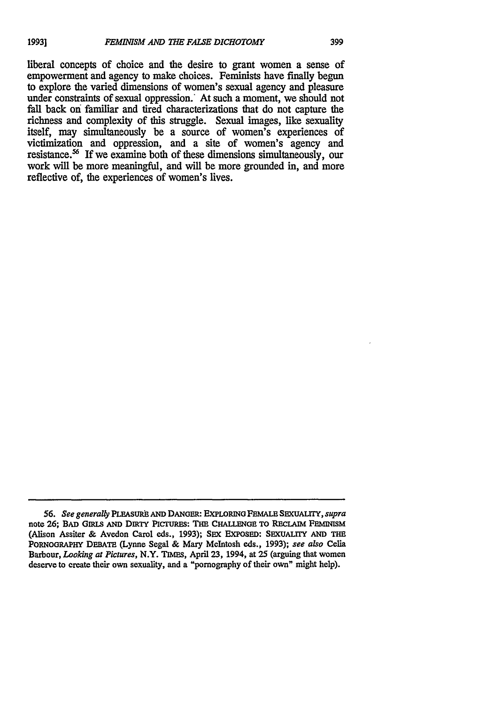liberal concepts of choice and the desire to grant women a sense of empowerment and agency to make choices. Feminists have finally begun to explore the varied dimensions of women's sexual agency and pleasure under constraints of sexual oppression. At such a moment, we should not fall back on familiar and tired characterizations that do not capture the richness and complexity of this struggle. Sexual images, like sexuality itself, may simultaneously be a source of women's experiences of victimization and oppression, and a site of women's agency and resistance.<sup>56</sup> If we examine both of these dimensions simultaneously, our work will be more meaningful, and will be more grounded in, and more

reflective of, the experiences of women's lives.

*<sup>56.</sup> See generally* **PLEASURh AND DANGER: EXPLORING FEMALE SEXUALIrY,** *supra* note **26;** BAD GRLS **AND DIRTY PICTURES: THE CHALLENGE** TO **RECLAIM FEMINSM** (Alison Assiter & Avedon Carol eds., **1993); SEX EXPOSED:** SEXUALITY **AND** THE **PORNOGRAPi** DEBATE (Lynne Segal **& Mary** McIntosh eds., **1993);** *see also* Celia Barbour, *Looking at Pictures,* N.Y. **TIMES,** April **23,** 1994, at 25 (arguing that women deserve to create their own sexuality, and a "pornography of their own" might help).